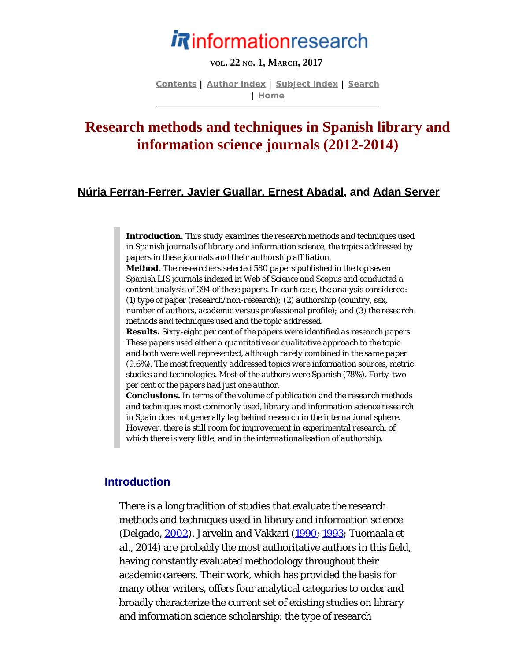# *i* Rinformationresearch

#### **VOL. 22 NO. 1, MARCH, 2017**

**[Contents](http://www.informationr.net/ir/22-1/infres221.html) | [Author index](http://www.informationr.net/ir/iraindex.html) | [Subject index](http://www.informationr.net/ir/irsindex.html) | [Search](http://www.informationr.net/ir/search.html) | [Home](http://www.informationr.net/ir/index.html)**

# <span id="page-0-0"></span>**Research methods and techniques in Spanish library and information science journals (2012-2014)**

### **[Núria Ferran-Ferrer, Javier Guallar, Ernest Abadal](#page-21-0), and [Adan Server](#page-21-0)**

*Introduction. This study examines the research methods and techniques used in Spanish journals of library and information science, the topics addressed by papers in these journals and their authorship affiliation. Method. The researchers selected 580 papers published in the top seven Spanish LIS journals indexed in Web of Science and Scopus and conducted a content analysis of 394 of these papers. In each case, the analysis considered: (1) type of paper (research/non-research); (2) authorship (country, sex, number of authors, academic versus professional profile); and (3) the research methods and techniques used and the topic addressed. Results. Sixty-eight per cent of the papers were identified as research papers. These papers used either a quantitative or qualitative approach to the topic and both were well represented, although rarely combined in the same paper (9.6%). The most frequently addressed topics were information sources, metric studies and technologies. Most of the authors were Spanish (78%). Forty-two per cent of the papers had just one author.* 

*Conclusions. In terms of the volume of publication and the research methods and techniques most commonly used, library and information science research in Spain does not generally lag behind research in the international sphere. However, there is still room for improvement in experimental research, of which there is very little, and in the internationalisation of authorship.*

### **Introduction**

There is a long tradition of studies that evaluate the research methods and techniques used in library and information science (Delgado, [2002](#page-25-0)). Jarvelin and Vakkari [\(1990](#page-25-0); [1993](#page-25-0); Tuomaala *et al.*, 2014) are probably the most authoritative authors in this field, having constantly evaluated methodology throughout their academic careers. Their work, which has provided the basis for many other writers, offers four analytical categories to order and broadly characterize the current set of existing studies on library and information science scholarship: the type of research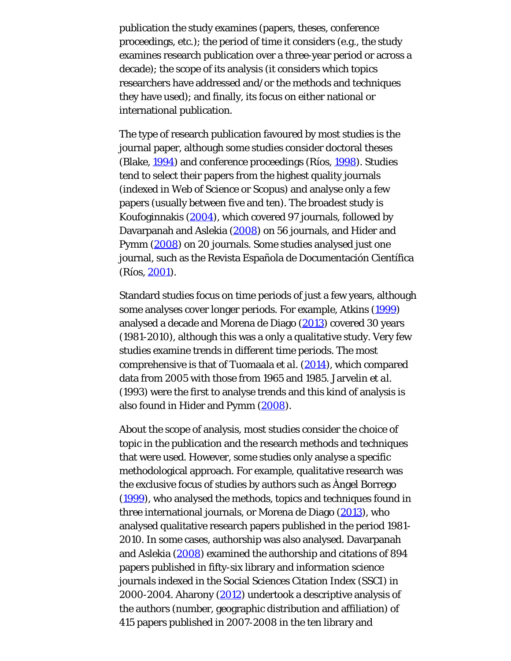publication the study examines (papers, theses, conference proceedings, etc.); the period of time it considers (e.g., the study examines research publication over a three-year period or across a decade); the scope of its analysis (it considers which topics researchers have addressed and/or the methods and techniques they have used); and finally, its focus on either national or international publication.

The type of research publication favoured by most studies is the journal paper, although some studies consider doctoral theses (Blake, [1994\)](#page-25-0) and conference proceedings (Ríos, [1998](#page-25-0)). Studies tend to select their papers from the highest quality journals (indexed in Web of Science or Scopus) and analyse only a few papers (usually between five and ten). The broadest study is Koufoginnakis [\(2004](#page-25-0)), which covered 97 journals, followed by Davarpanah and Aslekia [\(2008\)](#page-25-0) on 56 journals, and Hider and Pymm [\(2008](#page-25-0)) on 20 journals. Some studies analysed just one journal, such as the Revista Española de Documentación Científica (Ríos, [2001](#page-25-1)).

Standard studies focus on time periods of just a few years, although some analyses cover longer periods. For example, Atkins [\(1999\)](#page-25-0) analysed a decade and Morena de Diago [\(2013\)](#page-25-0) covered 30 years (1981-2010), although this was a only a qualitative study. Very few studies examine trends in different time periods. The most comprehensive is that of Tuomaala *et al.* [\(2014](#page-25-2)), which compared data from 2005 with those from 1965 and 1985. Jarvelin *et al.* (1993) were the first to analyse trends and this kind of analysis is also found in Hider and Pymm [\(2008](#page-25-0)).

About the scope of analysis, most studies consider the choice of topic in the publication and the research methods and techniques that were used. However, some studies only analyse a specific methodological approach. For example, qualitative research was the exclusive focus of studies by authors such as Àngel Borrego [\(1999\)](#page-25-0), who analysed the methods, topics and techniques found in three international journals, or Morena de Diago ([2013\)](#page-25-0), who analysed qualitative research papers published in the period 1981- 2010. In some cases, authorship was also analysed. Davarpanah and Aslekia [\(2008](#page-25-0)) examined the authorship and citations of 894 papers published in fifty-six library and information science journals indexed in the Social Sciences Citation Index (SSCI) in 2000-2004. Aharony [\(2012](#page-25-0)) undertook a descriptive analysis of the authors (number, geographic distribution and affiliation) of 415 papers published in 2007-2008 in the ten library and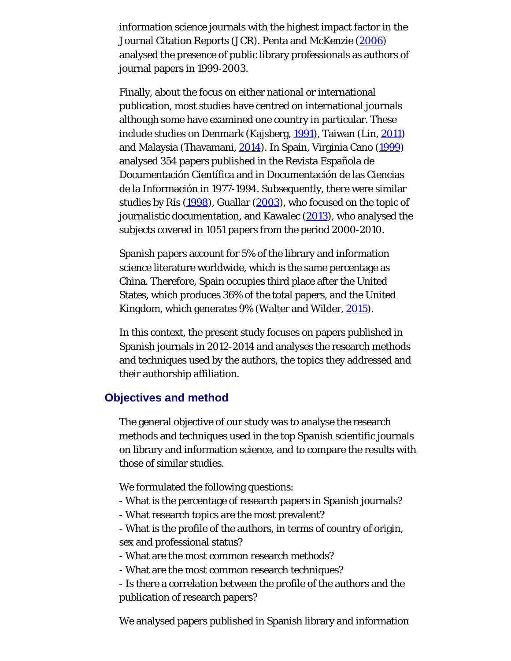information science journals with the highest impact factor in the Journal Citation Reports (JCR). Penta and McKenzie [\(2006](#page-25-0)) analysed the presence of public library professionals as authors of journal papers in 1999-2003.

Finally, about the focus on either national or international publication, most studies have centred on international journals although some have examined one country in particular. These include studies on Denmark (Kajsberg, [1991](#page-25-0)), Taiwan (Lin, [2011](#page-25-0)) and Malaysia (Thavamani, [2014](#page-25-3)). In Spain, Virginia Cano [\(1999\)](#page-25-0) analysed 354 papers published in the Revista Española de Documentación Científica and in Documentación de las Ciencias de la Información in 1977-1994. Subsequently, there were similar studies by Rís [\(1998](#page-25-0)), Guallar [\(2003](#page-25-0)), who focused on the topic of journalistic documentation, and Kawalec [\(2013](#page-25-0)), who analysed the subjects covered in 1051 papers from the period 2000-2010.

Spanish papers account for 5% of the library and information science literature worldwide, which is the same percentage as China. Therefore, Spain occupies third place after the United States, which produces 36% of the total papers, and the United Kingdom, which generates 9% (Walter and Wilder, [2015](#page-25-4)).

In this context, the present study focuses on papers published in Spanish journals in 2012-2014 and analyses the research methods and techniques used by the authors, the topics they addressed and their authorship affiliation.

### **Objectives and method**

The general objective of our study was to analyse the research methods and techniques used in the top Spanish scientific journals on library and information science, and to compare the results with those of similar studies.

We formulated the following questions:

- What is the percentage of research papers in Spanish journals?
- What research topics are the most prevalent?
- What is the profile of the authors, in terms of country of origin, sex and professional status?
- What are the most common research methods?
- What are the most common research techniques?
- Is there a correlation between the profile of the authors and the publication of research papers?

We analysed papers published in Spanish library and information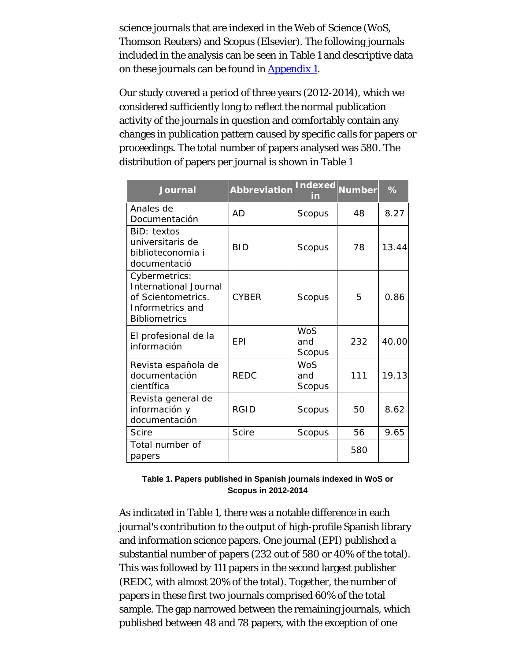science journals that are indexed in the Web of Science (WoS, Thomson Reuters) and Scopus (Elsevier). The following journals included in the analysis can be seen in Table 1 and descriptive data on these journals can be found in [Appendix 1](#page-26-0).

Our study covered a period of three years (2012-2014), which we considered sufficiently long to reflect the normal publication activity of the journals in question and comfortably contain any changes in publication pattern caused by specific calls for papers or proceedings. The total number of papers analysed was 580. The distribution of papers per journal is shown in Table 1

| <b>Journal</b>                                                                                                  | <b>Abbreviation</b> | <b>Indexed</b><br>in | <b>Number</b> | %     |
|-----------------------------------------------------------------------------------------------------------------|---------------------|----------------------|---------------|-------|
| Anales de<br>Documentación                                                                                      | <b>AD</b>           | Scopus               | 48            | 8.27  |
| BiD: textos<br>universitaris de<br>biblioteconomia i<br>documentació                                            | <b>BID</b>          | Scopus               | 78            | 13.44 |
| Cybermetrics:<br><b>International Journal</b><br>of Scientometrics.<br>Informetrics and<br><b>Bibliometrics</b> | <b>CYBER</b>        | Scopus               | 5             | 0.86  |
| El profesional de la<br>información                                                                             | <b>EPI</b>          | WoS<br>and<br>Scopus | 232           | 40.00 |
| Revista española de<br>documentación<br>científica                                                              | <b>REDC</b>         | WoS<br>and<br>Scopus | 111           | 19.13 |
| Revista general de<br>información y<br>documentación                                                            | <b>RGID</b>         | Scopus               | 50            | 8.62  |
| Scire                                                                                                           | <b>Scire</b>        | Scopus               | 56            | 9.65  |
| Total number of<br>papers                                                                                       |                     |                      | 580           |       |

#### **Table 1. Papers published in Spanish journals indexed in WoS or Scopus in 2012-2014**

As indicated in Table 1, there was a notable difference in each journal's contribution to the output of high-profile Spanish library and information science papers. One journal (EPI) published a substantial number of papers (232 out of 580 or 40% of the total). This was followed by 111 papers in the second largest publisher (REDC, with almost 20% of the total). Together, the number of papers in these first two journals comprised 60% of the total sample. The gap narrowed between the remaining journals, which published between 48 and 78 papers, with the exception of one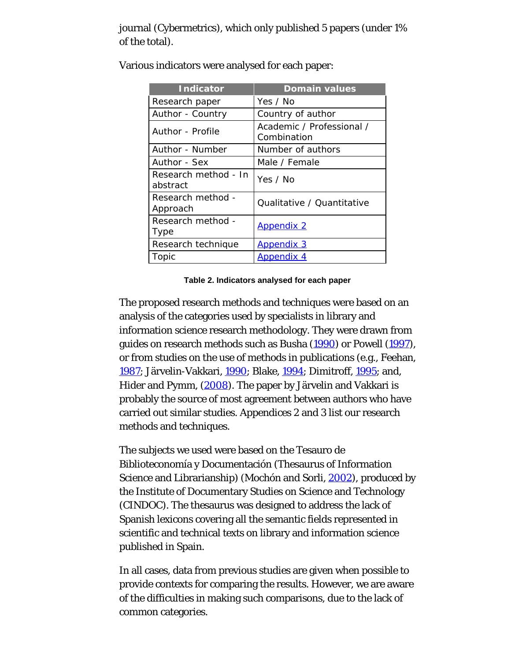journal (Cybermetrics), which only published 5 papers (under 1% of the total).

| <b>Indicator</b>                 | <b>Domain values</b>                     |
|----------------------------------|------------------------------------------|
| Research paper                   | Yes / No                                 |
| Author - Country                 | Country of author                        |
| Author - Profile                 | Academic / Professional /<br>Combination |
| Author - Number                  | Number of authors                        |
| Author - Sex                     | Male / Female                            |
| Research method - In<br>abstract | Yes / No                                 |
| Research method -<br>Approach    | Qualitative / Quantitative               |
| Research method -<br>Type        | <b>Appendix 2</b>                        |
| Research technique               | <b>Appendix 3</b>                        |
| Topic                            | <b>Appendix 4</b>                        |

Various indicators were analysed for each paper:

#### **Table 2. Indicators analysed for each paper**

The proposed research methods and techniques were based on an analysis of the categories used by specialists in library and information science research methodology. They were drawn from guides on research methods such as Busha [\(1990](#page-25-0)) or Powell [\(1997](#page-25-0)), or from studies on the use of methods in publications (e.g., Feehan, [1987;](#page-0-0) Järvelin-Vakkari, [1990](#page-25-0); Blake, [1994;](#page-25-0) Dimitroff, [1995](#page-25-0); and, Hider and Pymm, [\(2008](#page-25-0)). The paper by Järvelin and Vakkari is probably the source of most agreement between authors who have carried out similar studies. Appendices 2 and 3 list our research methods and techniques.

The subjects we used were based on the Tesauro de Biblioteconomía y Documentación (Thesaurus of Information Science and Librarianship) (Mochón and Sorli, [2002](#page-25-0)), produced by the Institute of Documentary Studies on Science and Technology (CINDOC). The thesaurus was designed to address the lack of Spanish lexicons covering all the semantic fields represented in scientific and technical texts on library and information science published in Spain.

In all cases, data from previous studies are given when possible to provide contexts for comparing the results. However, we are aware of the difficulties in making such comparisons, due to the lack of common categories.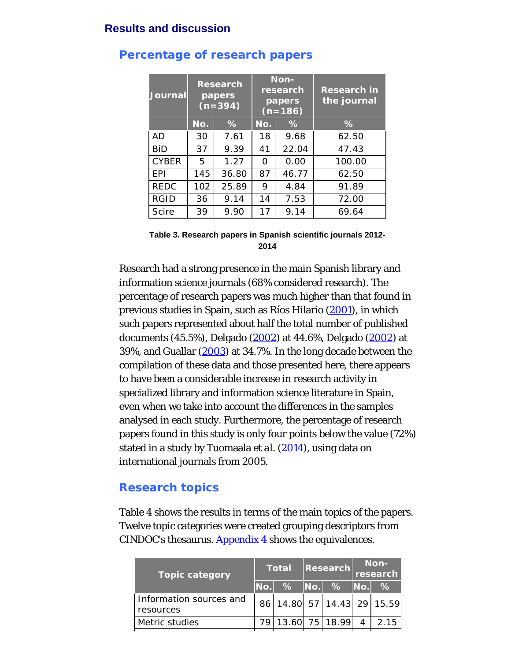### **Results and discussion**

| <b>Journal</b> | <b>Research</b><br>papers<br>$(n=394)$ |       | Non-<br>research<br>papers<br>$(n=186)$ |       | <b>Research in</b><br>the journal |
|----------------|----------------------------------------|-------|-----------------------------------------|-------|-----------------------------------|
|                | No.                                    | %     | No.                                     | %     | %                                 |
| AD             | 30                                     | 7.61  | 18                                      | 9.68  | 62.50                             |
| <b>BiD</b>     | 37                                     | 9.39  | 41                                      | 22.04 | 47.43                             |
| <b>CYBER</b>   | 5                                      | 1.27  | O                                       | 0.00  | 100.00                            |
| <b>FPI</b>     | 145                                    | 36.80 | 87                                      | 46.77 | 62.50                             |
| <b>REDC</b>    | 102                                    | 25.89 | 9                                       | 4.84  | 91.89                             |
| <b>RGID</b>    | 36                                     | 9.14  | 14                                      | 7.53  | 72.00                             |
| <b>Scire</b>   | 39                                     | 9.90  | 17                                      | 9.14  | 69.64                             |

### **Percentage of research papers**

**Table 3. Research papers in Spanish scientific journals 2012- 2014**

Research had a strong presence in the main Spanish library and information science journals (68% considered research). The percentage of research papers was much higher than that found in previous studies in Spain, such as Ríos Hilario [\(2001](#page-25-1)), in which such papers represented about half the total number of published documents (45.5%), Delgado ([2002](#page-25-0)) at 44.6%, Delgado [\(2002](#page-25-0)) at 39%, and Guallar ([2003\)](#page-25-0) at 34.7%. In the long decade between the compilation of these data and those presented here, there appears to have been a considerable increase in research activity in specialized library and information science literature in Spain, even when we take into account the differences in the samples analysed in each study. Furthermore, the percentage of research papers found in this study is only four points below the value (72%) stated in a study by Tuomaala *et al.* [\(2014](#page-25-2)), using data on international journals from 2005.

### **Research topics**

Table 4 shows the results in terms of the main topics of the papers. Twelve topic categories were created grouping descriptors from CINDOC's thesaurus. [Appendix 4](#page-30-0) shows the equivalences.

| <b>Topic category</b>                |         | Total |  | <b>Research</b>            | Non-<br>research |               |
|--------------------------------------|---------|-------|--|----------------------------|------------------|---------------|
|                                      | $N$ o.l |       |  | %  No.  %  No.             |                  | $\frac{1}{2}$ |
| Information sources and<br>resources |         |       |  | 86 14.80 57 14.43 29 15.59 |                  |               |
| Metric studies                       | 79 I    |       |  | 13.60 75 18.99             | $\overline{4}$   | 2 15          |
|                                      |         |       |  |                            |                  |               |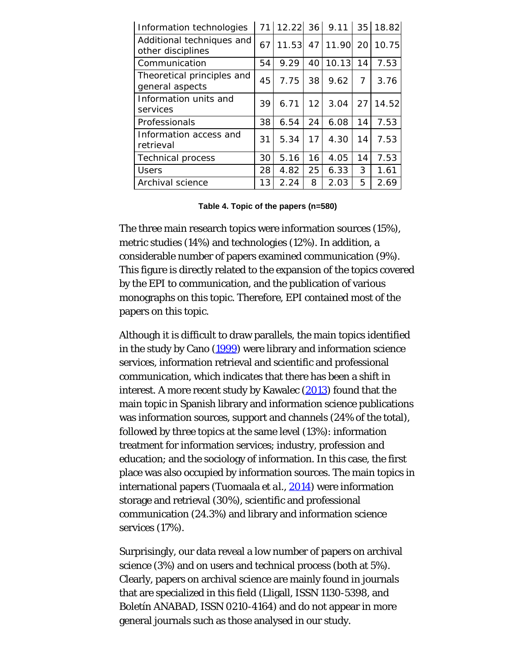| Information technologies                       |    | 71 12.22 36 9.11 35 18.82 |                 |          |                 |       |
|------------------------------------------------|----|---------------------------|-----------------|----------|-----------------|-------|
| Additional techniques and<br>other disciplines | 67 | 11.53                     |                 | 47 11.90 | 20 <sup>1</sup> | 10.75 |
| Communication                                  | 54 | 9.29                      | 40              | 10.13    | 14              | 7.53  |
| Theoretical principles and<br>general aspects  | 45 | 7.75                      | 38              | 9.62     | 7               | 3.76  |
| Information units and<br>services              | 39 | 6.71                      | 12 <sub>1</sub> | 3.04     | 27              | 14.52 |
| Professionals                                  | 38 | 6.54                      | 24              | 6.08     | 14              | 7.53  |
| Information access and<br>retrieval            | 31 | 5.34                      | 17              | 4.30     | 14              | 7.53  |
| <b>Technical process</b>                       | 30 | 5.16                      | 16              | 4.05     | 14              | 7.53  |
| <b>Users</b>                                   | 28 | 4.82                      | 25              | 6.33     | 3               | 1.61  |
| Archival science                               | 13 | 2.24                      | 8               | 2.03     | 5               | 2.69  |

**Table 4. Topic of the papers (n=580)**

The three main research topics were information sources (15%), metric studies (14%) and technologies (12%). In addition, a considerable number of papers examined communication (9%). This figure is directly related to the expansion of the topics covered by the EPI to communication, and the publication of various monographs on this topic. Therefore, EPI contained most of the papers on this topic.

Although it is difficult to draw parallels, the main topics identified in the study by Cano [\(1999\)](#page-25-0) were library and information science services, information retrieval and scientific and professional communication, which indicates that there has been a shift in interest. A more recent study by Kawalec ([2013\)](#page-25-0) found that the main topic in Spanish library and information science publications was information sources, support and channels (24% of the total), followed by three topics at the same level (13%): information treatment for information services; industry, profession and education; and the sociology of information. In this case, the first place was also occupied by information sources. The main topics in international papers (Tuomaala *et al*., [2014](#page-25-2)) were information storage and retrieval (30%), scientific and professional communication (24.3%) and library and information science services (17%).

Surprisingly, our data reveal a low number of papers on archival science (3%) and on users and technical process (both at 5%). Clearly, papers on archival science are mainly found in journals that are specialized in this field (Lligall, ISSN 1130-5398, and Boletín ANABAD, ISSN 0210-4164) and do not appear in more general journals such as those analysed in our study.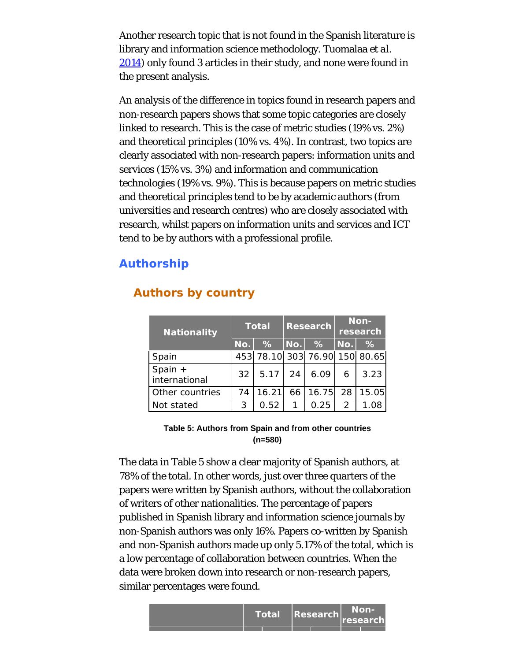Another research topic that is not found in the Spanish literature is library and information science methodology. Tuomalaa *et al.* [2014\)](#page-25-2) only found 3 articles in their study, and none were found in the present analysis.

An analysis of the difference in topics found in research papers and non-research papers shows that some topic categories are closely linked to research. This is the case of metric studies (19% vs. 2%) and theoretical principles (10% vs. 4%). In contrast, two topics are clearly associated with non-research papers: information units and services (15% vs. 3%) and information and communication technologies (19% vs. 9%). This is because papers on metric studies and theoretical principles tend to be by academic authors (from universities and research centres) who are closely associated with research, whilst papers on information units and services and ICT tend to be by authors with a professional profile.

## **Authorship**

| Nationality                | <b>Total</b> |                               | <b>Research</b> |       | Non-<br>research |       |
|----------------------------|--------------|-------------------------------|-----------------|-------|------------------|-------|
|                            | No.          | $\frac{1}{2}$                 | No.             | $\%$  | No.              | $\%$  |
| Spain                      |              | 453 78.10 303 76.90 150 80.65 |                 |       |                  |       |
| Spain $+$<br>international | 32           | 5.17                          | 24              | 6.09  | 6                | 3.23  |
| Other countries            | 74           | 16.21                         | 66              | 16.75 | 28               | 15.05 |
| Not stated                 | 3            | 0.52                          |                 | 0.25  | 2                | 1.08  |

# **Authors by country**

#### **Table 5: Authors from Spain and from other countries (n=580)**

The data in Table 5 show a clear majority of Spanish authors, at 78% of the total. In other words, just over three quarters of the papers were written by Spanish authors, without the collaboration of writers of other nationalities. The percentage of papers published in Spanish library and information science journals by non-Spanish authors was only 16%. Papers co-written by Spanish and non-Spanish authors made up only 5.17% of the total, which is a low percentage of collaboration between countries. When the data were broken down into research or non-research papers, similar percentages were found.

| <b>Total</b> | $\vert$ Research $\vert$ | Non-<br>research |
|--------------|--------------------------|------------------|
|              |                          |                  |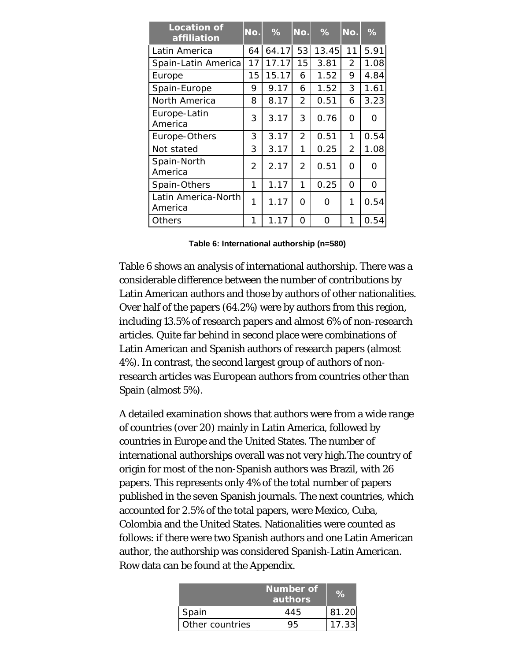| <b>Location of</b><br>affiliation | No. | %     | No.            | %     | No.            | %    |
|-----------------------------------|-----|-------|----------------|-------|----------------|------|
| Latin America                     | 64  | 64.17 | 53             | 13.45 | 11             | 5.91 |
| Spain-Latin America               | 17  | 17.17 | 15             | 3.81  | $\mathcal{P}$  | 1.08 |
| Europe                            | 15  | 15.17 | 6              | 1.52  | 9              | 4.84 |
| Spain-Europe                      | 9   | 9.17  | 6              | 1.52  | 3              | 1.61 |
| North America                     | 8   | 8.17  | 2              | 0.51  | 6              | 3.23 |
| Europe-Latin<br>America           | 3   | 3.17  | 3              | 0.76  | O              | O    |
| Europe-Others                     | 3   | 3.17  | $\overline{2}$ | 0.51  | 1              | 0.54 |
| Not stated                        | 3   | 3.17  | 1              | 0.25  | $\overline{2}$ | 1.08 |
| Spain-North<br>America            | 2   | 2.17  | 2              | 0.51  | O              | O    |
| Spain-Others                      | 1   | 1.17  | 1              | 0.25  | O              | 0    |
| Latin America-North<br>America    | 1   | 1.17  | 0              | Ω     | 1              | 0.54 |
| Others                            | 1   | 1.17  | O              | Ω     | 1              | 0.54 |

|  | Table 6: International authorship (n=580) |  |  |
|--|-------------------------------------------|--|--|
|--|-------------------------------------------|--|--|

Table 6 shows an analysis of international authorship. There was a considerable difference between the number of contributions by Latin American authors and those by authors of other nationalities. Over half of the papers (64.2%) were by authors from this region, including 13.5% of research papers and almost 6% of non-research articles. Quite far behind in second place were combinations of Latin American and Spanish authors of research papers (almost 4%). In contrast, the second largest group of authors of nonresearch articles was European authors from countries other than Spain (almost 5%).

A detailed examination shows that authors were from a wide range of countries (over 20) mainly in Latin America, followed by countries in Europe and the United States. The number of international authorships overall was not very high.The country of origin for most of the non-Spanish authors was Brazil, with 26 papers. This represents only 4% of the total number of papers published in the seven Spanish journals. The next countries, which accounted for 2.5% of the total papers, were Mexico, Cuba, Colombia and the United States. Nationalities were counted as follows: if there were two Spanish authors and one Latin American author, the authorship was considered Spanish-Latin American. Row data can be found at the Appendix.

|                 | Number of<br>authors |       |
|-----------------|----------------------|-------|
| Spain           | 445                  | 81.20 |
| Other countries |                      | 17.33 |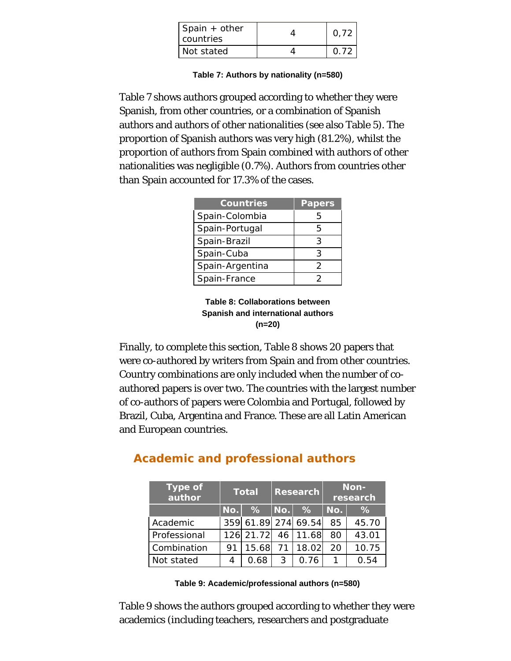| Spain + other<br>Lcountries | 0.72        |
|-----------------------------|-------------|
| Not stated                  | <u>በ 72</u> |

**Table 7: Authors by nationality (n=580)**

Table 7 shows authors grouped according to whether they were Spanish, from other countries, or a combination of Spanish authors and authors of other nationalities (see also Table 5). The proportion of Spanish authors was very high (81.2%), whilst the proportion of authors from Spain combined with authors of other nationalities was negligible (0.7%). Authors from countries other than Spain accounted for 17.3% of the cases.

| <b>Countries</b> | <b>Papers</b> |
|------------------|---------------|
| Spain-Colombia   | 5             |
| Spain-Portugal   | 5             |
| Spain-Brazil     | 3             |
| Spain-Cuba       | २             |
| Spain-Argentina  | 2             |
| Spain-France     |               |

**Table 8: Collaborations between Spanish and international authors (n=20)**

Finally, to complete this section, Table 8 shows 20 papers that were co-authored by writers from Spain and from other countries. Country combinations are only included when the number of coauthored papers is over two. The countries with the largest number of co-authors of papers were Colombia and Portugal, followed by Brazil, Cuba, Argentina and France. These are all Latin American and European countries.

| <b>Type of</b><br>author |     | <b>Total</b> |      | <b>Research</b>     |     | Non-<br>research |  |  |
|--------------------------|-----|--------------|------|---------------------|-----|------------------|--|--|
|                          | No. | %            | No.  | $\%$                | No. | $\%$             |  |  |
| Academic                 |     |              |      | 359 61.89 274 69.54 | 85  | 45.70            |  |  |
| Professional             |     | 126 21.72    | 46 l | 11.68               | 80  | 43.01            |  |  |
| Combination              | 91  | 15.68        | 71 I | 18.02               | 20  | 10.75            |  |  |
| Not stated               | 4   | 0.68         | 3    | 0.76                |     | 0.54             |  |  |

# **Academic and professional authors**

Table 9 shows the authors grouped according to whether they were academics (including teachers, researchers and postgraduate

**Table 9: Academic/professional authors (n=580)**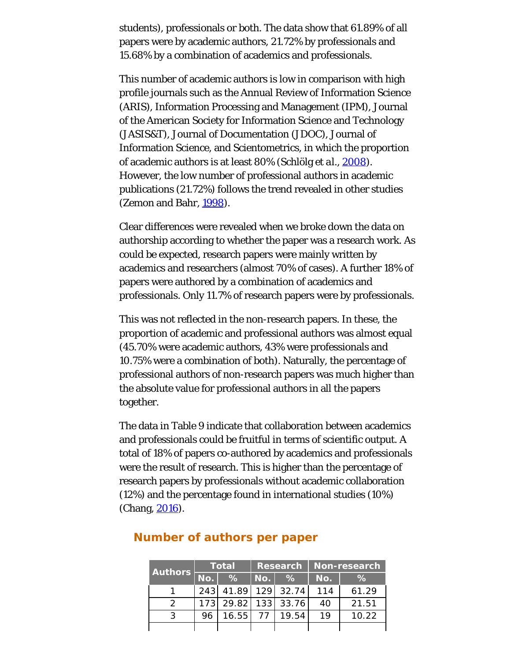students), professionals or both. The data show that 61.89% of all papers were by academic authors, 21.72% by professionals and 15.68% by a combination of academics and professionals.

This number of academic authors is low in comparison with high profile journals such as the Annual Review of Information Science (ARIS), Information Processing and Management (IPM), Journal of the American Society for Information Science and Technology (JASIS&T), Journal of Documentation (JDOC), Journal of Information Science, and Scientometrics, in which the proportion of academic authors is at least 80% (Schlölg *et al.*, [2008\)](#page-25-5). However, the low number of professional authors in academic publications (21.72%) follows the trend revealed in other studies (Zemon and Bahr, [1998](#page-25-6)).

Clear differences were revealed when we broke down the data on authorship according to whether the paper was a research work. As could be expected, research papers were mainly written by academics and researchers (almost 70% of cases). A further 18% of papers were authored by a combination of academics and professionals. Only 11.7% of research papers were by professionals.

This was not reflected in the non-research papers. In these, the proportion of academic and professional authors was almost equal (45.70% were academic authors, 43% were professionals and 10.75% were a combination of both). Naturally, the percentage of professional authors of non-research papers was much higher than the absolute value for professional authors in all the papers together.

The data in Table 9 indicate that collaboration between academics and professionals could be fruitful in terms of scientific output. A total of 18% of papers co-authored by academics and professionals were the result of research. This is higher than the percentage of research papers by professionals without academic collaboration (12%) and the percentage found in international studies (10%) (Chang, [2016](#page-25-0)).

| <b>Authors</b> |     | <b>Total</b>        | Research   Non-research |                     |     |       |  |
|----------------|-----|---------------------|-------------------------|---------------------|-----|-------|--|
|                | No. | $\frac{9}{6}$       | No.                     | $\%$                | No. | ℅     |  |
|                |     |                     |                         | 243 41.89 129 32.74 | 114 | 61.29 |  |
|                |     | 173 29.82 133 33.76 |                         |                     | 40  | 21.51 |  |
| $\mathcal{R}$  | 96  | 16.55               | 77 L                    | 19.54               | 19  | 10.22 |  |
|                |     |                     |                         |                     |     |       |  |

### **Number of authors per paper**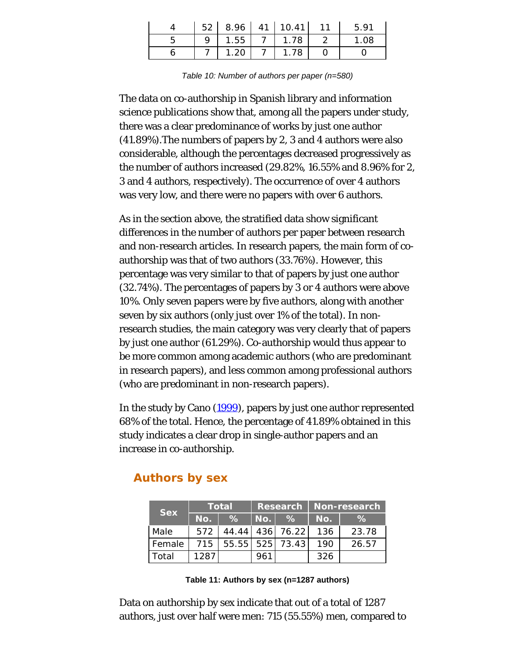|   |      | $52$   8.96   41   10.41   11 | 5.91 |
|---|------|-------------------------------|------|
| Q |      | $1.55$   7   1.78             | 1.08 |
|   | 1.20 |                               |      |

*Table 10: Number of authors per paper (n=580)*

The data on co-authorship in Spanish library and information science publications show that, among all the papers under study, there was a clear predominance of works by just one author (41.89%).The numbers of papers by 2, 3 and 4 authors were also considerable, although the percentages decreased progressively as the number of authors increased (29.82%, 16.55% and 8.96% for 2, 3 and 4 authors, respectively). The occurrence of over 4 authors was very low, and there were no papers with over 6 authors.

As in the section above, the stratified data show significant differences in the number of authors per paper between research and non-research articles. In research papers, the main form of coauthorship was that of two authors (33.76%). However, this percentage was very similar to that of papers by just one author (32.74%). The percentages of papers by 3 or 4 authors were above 10%. Only seven papers were by five authors, along with another seven by six authors (only just over 1% of the total). In nonresearch studies, the main category was very clearly that of papers by just one author (61.29%). Co-authorship would thus appear to be more common among academic authors (who are predominant in research papers), and less common among professional authors (who are predominant in non-research papers).

In the study by Cano [\(1999\)](#page-25-0), papers by just one author represented 68% of the total. Hence, the percentage of 41.89% obtained in this study indicates a clear drop in single-author papers and an increase in co-authorship.

| <b>Sex</b> | Total |               | Research   Non-research |                           |     |       |
|------------|-------|---------------|-------------------------|---------------------------|-----|-------|
|            | No.   | $\frac{9}{6}$ | l No. l                 | $\frac{9}{6}$             | No. | ℅     |
| Male       | 572   |               |                         | 44.44 436 76.22 136       |     | 23.78 |
| Female     |       |               |                         | 715   55.55   525   73.43 | 190 | 26.57 |
| Total      | 1287  |               | 961                     |                           | 326 |       |

### **Authors by sex**

Data on authorship by sex indicate that out of a total of 1287 authors, just over half were men: 715 (55.55%) men, compared to

**Table 11: Authors by sex (n=1287 authors)**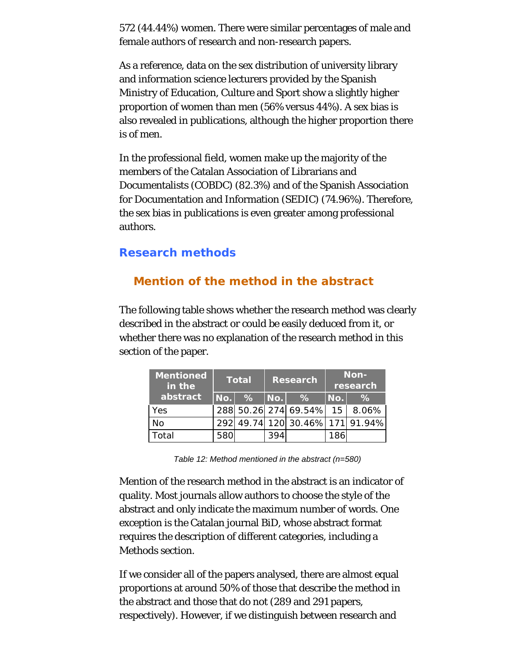572 (44.44%) women. There were similar percentages of male and female authors of research and non-research papers.

As a reference, data on the sex distribution of university library and information science lecturers provided by the Spanish Ministry of Education, Culture and Sport show a slightly higher proportion of women than men (56% versus 44%). A sex bias is also revealed in publications, although the higher proportion there is of men.

In the professional field, women make up the majority of the members of the Catalan Association of Librarians and Documentalists (COBDC) (82.3%) and of the Spanish Association for Documentation and Information (SEDIC) (74.96%). Therefore, the sex bias in publications is even greater among professional authors.

### **Research methods**

# **Mention of the method in the abstract**

The following table shows whether the research method was clearly described in the abstract or could be easily deduced from it, or whether there was no explanation of the research method in this section of the paper.

| <b>Mentioned</b><br>in the | Total<br><b>Research</b> |      |      | Non-<br>research                |     |       |
|----------------------------|--------------------------|------|------|---------------------------------|-----|-------|
| abstract                   | No.                      | $\%$ | No.l | $\%$                            | No. | $\%$  |
| Yes                        |                          |      |      | 288 50.26 274 69.54% 15         |     | 8.06% |
| No                         |                          |      |      | 292 49.74 120 30.46% 171 91.94% |     |       |
| otal                       | 580                      |      | 394  |                                 | 186 |       |

*Table 12: Method mentioned in the abstract (n=580)*

Mention of the research method in the abstract is an indicator of quality. Most journals allow authors to choose the style of the abstract and only indicate the maximum number of words. One exception is the Catalan journal BiD, whose abstract format requires the description of different categories, including a Methods section.

If we consider all of the papers analysed, there are almost equal proportions at around 50% of those that describe the method in the abstract and those that do not (289 and 291 papers, respectively). However, if we distinguish between research and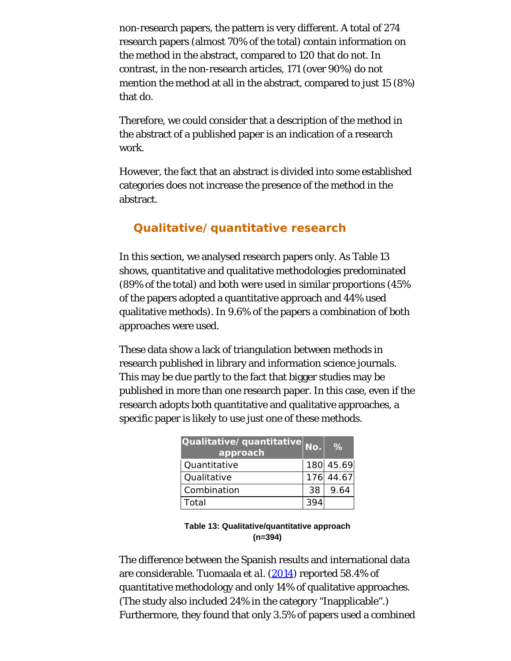non-research papers, the pattern is very different. A total of 274 research papers (almost 70% of the total) contain information on the method in the abstract, compared to 120 that do not. In contrast, in the non-research articles, 171 (over 90%) do not mention the method at all in the abstract, compared to just 15 (8%) that do.

Therefore, we could consider that a description of the method in the abstract of a published paper is an indication of a research work.

However, the fact that an abstract is divided into some established categories does not increase the presence of the method in the abstract.

# **Qualitative/quantitative research**

In this section, we analysed research papers only. As Table 13 shows, quantitative and qualitative methodologies predominated (89% of the total) and both were used in similar proportions (45% of the papers adopted a quantitative approach and 44% used qualitative methods). In 9.6% of the papers a combination of both approaches were used.

These data show a lack of triangulation between methods in research published in library and information science journals. This may be due partly to the fact that bigger studies may be published in more than one research paper. In this case, even if the research adopts both quantitative and qualitative approaches, a specific paper is likely to use just one of these methods.

| Qualitative/quantitative No.<br>approach |     | $\%$      |
|------------------------------------------|-----|-----------|
| Quantitative                             |     | 180 45.69 |
| Qualitative                              |     | 176 44.67 |
| Combination                              | 38. | 9.64      |
| Total                                    |     |           |

**Table 13: Qualitative/quantitative approach (n=394)**

The difference between the Spanish results and international data are considerable. Tuomaala *et al.* [\(2014](#page-25-2)) reported 58.4% of quantitative methodology and only 14% of qualitative approaches. (The study also included 24% in the category "Inapplicable".) Furthermore, they found that only 3.5% of papers used a combined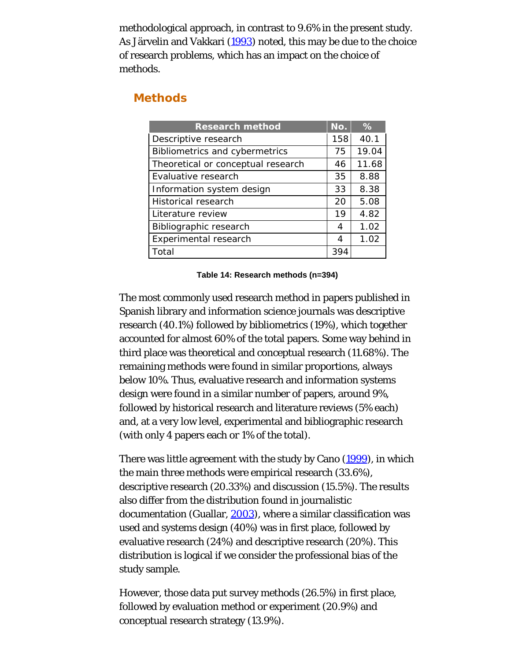methodological approach, in contrast to 9.6% in the present study. As Järvelin and Vakkari [\(1993](#page-25-0)) noted, this may be due to the choice of research problems, which has an impact on the choice of methods.

### **Methods**

| <b>Research method</b>                | No. | %     |
|---------------------------------------|-----|-------|
| Descriptive research                  | 158 | 40.1  |
| <b>Bibliometrics and cybermetrics</b> | 75  | 19.04 |
| Theoretical or conceptual research    | 46  | 11.68 |
| Evaluative research                   | 35  | 8.88  |
| Information system design             | 33  | 8.38  |
| <b>Historical research</b>            | 20  | 5.08  |
| Literature review                     | 19  | 4.82  |
| Bibliographic research                | 4   | 1.02  |
| Experimental research                 | 4   | 1.02  |
| Total                                 | 394 |       |

**Table 14: Research methods (n=394)**

The most commonly used research method in papers published in Spanish library and information science journals was descriptive research (40.1%) followed by bibliometrics (19%), which together accounted for almost 60% of the total papers. Some way behind in third place was theoretical and conceptual research (11.68%). The remaining methods were found in similar proportions, always below 10%. Thus, evaluative research and information systems design were found in a similar number of papers, around 9%, followed by historical research and literature reviews (5% each) and, at a very low level, experimental and bibliographic research (with only 4 papers each or 1% of the total).

There was little agreement with the study by Cano [\(1999\)](#page-25-0), in which the main three methods were empirical research (33.6%), descriptive research (20.33%) and discussion (15.5%). The results also differ from the distribution found in journalistic documentation (Guallar, [2003](#page-25-0)), where a similar classification was used and systems design (40%) was in first place, followed by evaluative research (24%) and descriptive research (20%). This distribution is logical if we consider the professional bias of the study sample.

However, those data put survey methods (26.5%) in first place, followed by evaluation method or experiment (20.9%) and conceptual research strategy (13.9%).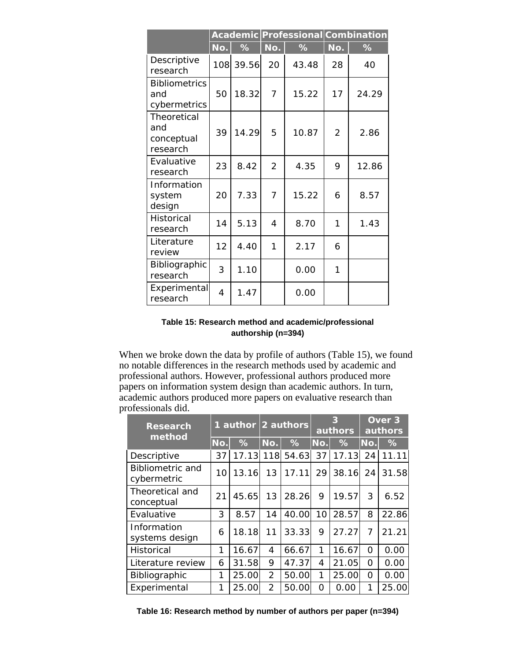|                                              |     |           |                |       | Academic Professional Combination |       |  |
|----------------------------------------------|-----|-----------|----------------|-------|-----------------------------------|-------|--|
|                                              | No. | %         | No.            | $\%$  | No.                               | ℅     |  |
| Descriptive<br>research                      |     | 108 39.56 | 20             | 43.48 | 28                                | 40    |  |
| <b>Bibliometrics</b><br>and<br>cybermetrics  | 50  | 18.32     | $\overline{7}$ | 15.22 | 17                                | 24.29 |  |
| Theoretical<br>and<br>conceptual<br>research | 39  | 14.29     | 5              | 10.87 | $\overline{2}$                    | 2.86  |  |
| Evaluative<br>research                       | 23  | 8.42      | $\mathcal{P}$  | 4.35  | 9                                 | 12.86 |  |
| Information<br>system<br>design              | 20  | 7.33      | $\overline{7}$ | 15.22 | 6                                 | 8.57  |  |
| Historical<br>research                       | 14  | 5.13      | 4              | 8.70  | 1                                 | 1.43  |  |
| Literature<br>review                         | 12  | 4.40      | 1              | 2.17  | 6                                 |       |  |
| Bibliographic<br>research                    | 3   | 1.10      |                | 0.00  | 1                                 |       |  |
| Experimental<br>research                     | 4   | 1.47      |                | 0.00  |                                   |       |  |

#### **Table 15: Research method and academic/professional authorship (n=394)**

When we broke down the data by profile of authors (Table 15), we found no notable differences in the research methods used by academic and professional authors. However, professional authors produced more papers on information system design than academic authors. In turn, academic authors produced more papers on evaluative research than professionals did.

| <b>Research</b><br>method              | $\mathbf{1}$    |       | author 2 authors |           | authors         |       | Over <sub>3</sub><br>authors |       |
|----------------------------------------|-----------------|-------|------------------|-----------|-----------------|-------|------------------------------|-------|
|                                        | No.             | %     | No.              | %         | No.             | %     | No.                          | %     |
| Descriptive                            | 37              | 17.13 |                  | 118 54.63 | 37 <sup>1</sup> | 17.13 | 24                           | 11.11 |
| <b>Bibliometric and</b><br>cybermetric | 10 <sup>1</sup> | 13.16 | 13               | 17.11     | 29              | 38.16 | 24                           | 31.58 |
| Theoretical and<br>conceptual          | 21              | 45.65 | 13               | 28.26     | 9               | 19.57 | 3                            | 6.52  |
| Evaluative                             | 3               | 8.57  | 14               | 40.00     | 10              | 28.57 | 8                            | 22.86 |
| Information<br>systems design          | 6               | 18.18 | 11               | 33.33     | 9               | 27.27 | 7                            | 21.21 |
| Historical                             | 1               | 16.67 | 4                | 66.67     | 1               | 16.67 | O                            | 0.00  |
| Literature review                      | 6               | 31.58 | 9                | 47.37     | 4               | 21.05 | O                            | 0.00  |
| Bibliographic                          | 1               | 25.00 | $\overline{2}$   | 50.00     | 1               | 25.00 | O                            | 0.00  |
| Experimental                           | 1               | 25.00 | $\overline{2}$   | 50.00     | 0               | 0.00  | 1                            | 25.00 |

**Table 16: Research method by number of authors per paper (n=394)**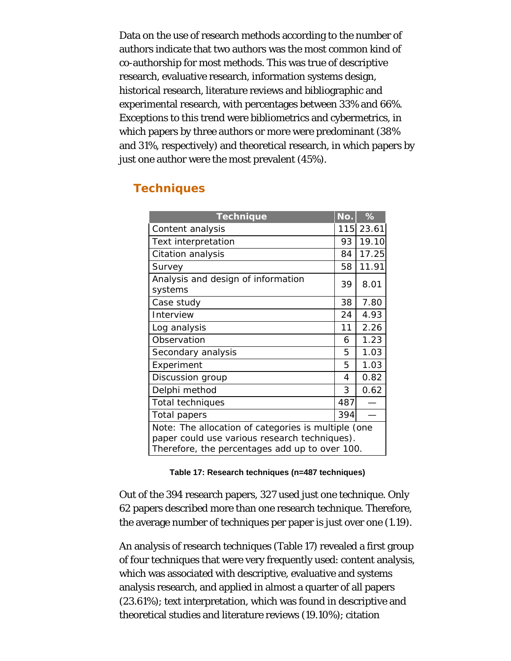Data on the use of research methods according to the number of authors indicate that two authors was the most common kind of co-authorship for most methods. This was true of descriptive research, evaluative research, information systems design, historical research, literature reviews and bibliographic and experimental research, with percentages between 33% and 66%. Exceptions to this trend were bibliometrics and cybermetrics, in which papers by three authors or more were predominant (38% and 31%, respectively) and theoretical research, in which papers by just one author were the most prevalent (45%).

# **Techniques**

| <b>Technique</b>                                                                                                                                       | No. | $\frac{1}{6}$ |  |  |  |  |
|--------------------------------------------------------------------------------------------------------------------------------------------------------|-----|---------------|--|--|--|--|
| Content analysis                                                                                                                                       |     | 115 23.61     |  |  |  |  |
| Text interpretation                                                                                                                                    | 93  | 19.10         |  |  |  |  |
| Citation analysis                                                                                                                                      | 84  | 17.25         |  |  |  |  |
| Survey                                                                                                                                                 | 58  | 11.91         |  |  |  |  |
| Analysis and design of information<br>systems                                                                                                          | 39  | 8.01          |  |  |  |  |
| Case study                                                                                                                                             | 38  | 7.80          |  |  |  |  |
| Interview                                                                                                                                              | 24  | 4.93          |  |  |  |  |
| Log analysis                                                                                                                                           | 11  | 2.26          |  |  |  |  |
| Observation                                                                                                                                            | 6   | 1.23          |  |  |  |  |
| Secondary analysis                                                                                                                                     | 5   | 1.03          |  |  |  |  |
| Experiment                                                                                                                                             | 5   | 1.03          |  |  |  |  |
| Discussion group                                                                                                                                       | 4   | 0.82          |  |  |  |  |
| Delphi method                                                                                                                                          | 3   | 0.62          |  |  |  |  |
| <b>Total techniques</b>                                                                                                                                | 487 |               |  |  |  |  |
| Total papers                                                                                                                                           | 394 |               |  |  |  |  |
| Note: The allocation of categories is multiple (one<br>paper could use various research techniques).<br>Therefore, the percentages add up to over 100. |     |               |  |  |  |  |

#### **Table 17: Research techniques (n=487 techniques)**

Out of the 394 research papers, 327 used just one technique. Only 62 papers described more than one research technique. Therefore, the average number of techniques per paper is just over one (1.19).

An analysis of research techniques (Table 17) revealed a first group of four techniques that were very frequently used: content analysis, which was associated with descriptive, evaluative and systems analysis research, and applied in almost a quarter of all papers (23.61%); text interpretation, which was found in descriptive and theoretical studies and literature reviews (19.10%); citation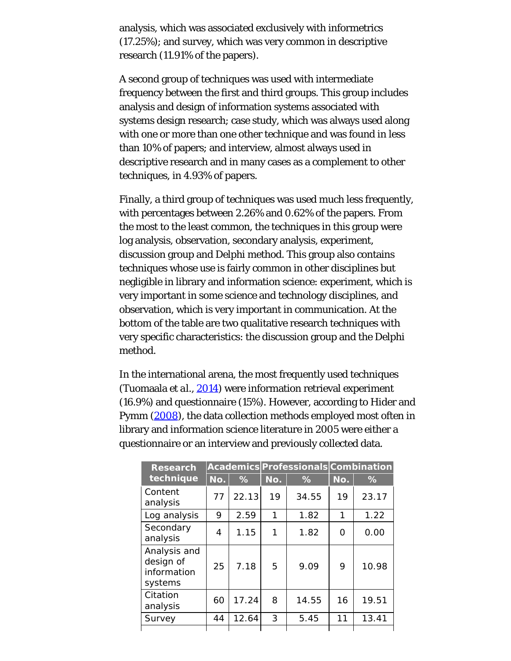analysis, which was associated exclusively with informetrics (17.25%); and survey, which was very common in descriptive research (11.91% of the papers).

A second group of techniques was used with intermediate frequency between the first and third groups. This group includes analysis and design of information systems associated with systems design research; case study, which was always used along with one or more than one other technique and was found in less than 10% of papers; and interview, almost always used in descriptive research and in many cases as a complement to other techniques, in 4.93% of papers.

Finally, a third group of techniques was used much less frequently, with percentages between 2.26% and 0.62% of the papers. From the most to the least common, the techniques in this group were log analysis, observation, secondary analysis, experiment, discussion group and Delphi method. This group also contains techniques whose use is fairly common in other disciplines but negligible in library and information science: experiment, which is very important in some science and technology disciplines, and observation, which is very important in communication. At the bottom of the table are two qualitative research techniques with very specific characteristics: the discussion group and the Delphi method.

In the international arena, the most frequently used techniques (Tuomaala *et al.*, [2014](#page-25-2)) were information retrieval experiment (16.9%) and questionnaire (15%). However, according to Hider and Pymm [\(2008](#page-25-0)), the data collection methods employed most often in library and information science literature in 2005 were either a questionnaire or an interview and previously collected data.

| <b>Research</b>                                     |     |       | Academics Professionals Combination |               |     |       |
|-----------------------------------------------------|-----|-------|-------------------------------------|---------------|-----|-------|
| technique                                           | No. | %     | No.                                 | $\frac{9}{6}$ | No. | %     |
| Content<br>analysis                                 | 77  | 22.13 | 19                                  | 34.55         | 19  | 23.17 |
| Log analysis                                        | 9   | 2.59  | 1                                   | 1.82          | 1   | 1.22  |
| Secondary<br>analysis                               | 4   | 1.15  | 1                                   | 1.82          | 0   | 0.00  |
| Analysis and<br>design of<br>information<br>systems | 25  | 7.18  | 5                                   | 9.09          | 9   | 10.98 |
| Citation<br>analysis                                | 60  | 17.24 | 8                                   | 14.55         | 16  | 19.51 |
| Survey                                              | 44  | 12.64 | 3                                   | 5.45          | 11  | 13.41 |
|                                                     |     |       |                                     |               |     |       |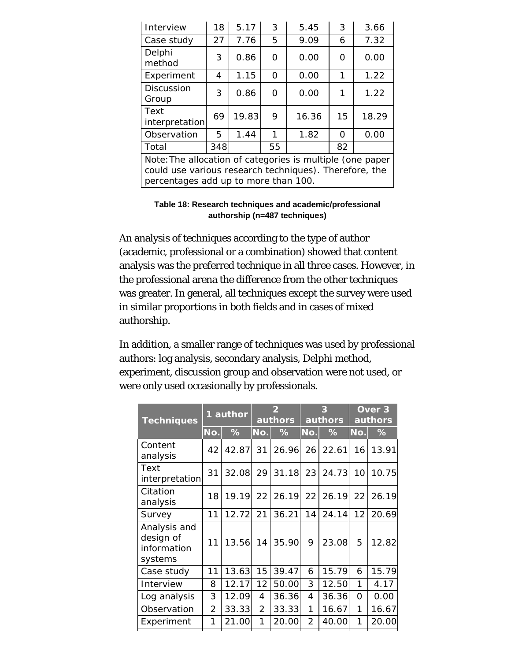| 18                                                                                                                                                          | 5.17  | 3        | 5.45  | 3        | 3.66  |  |  |  |
|-------------------------------------------------------------------------------------------------------------------------------------------------------------|-------|----------|-------|----------|-------|--|--|--|
| 27                                                                                                                                                          | 7.76  | 5        | 9.09  | 6        | 7.32  |  |  |  |
| 3                                                                                                                                                           | 0.86  | O        | 0.00  | 0        | 0.00  |  |  |  |
| 4                                                                                                                                                           | 1.15  | $\Omega$ | 0.00  | 1        | 1.22  |  |  |  |
| 3                                                                                                                                                           | 0.86  | 0        | 0.00  | 1        | 1.22  |  |  |  |
| 69<br>interpretation                                                                                                                                        | 19.83 | 9        | 16.36 | 15       | 18.29 |  |  |  |
| 5                                                                                                                                                           | 1.44  | 1        | 1.82  | $\Omega$ | 0.00  |  |  |  |
| 348                                                                                                                                                         |       | 55       |       | 82       |       |  |  |  |
| Note: The allocation of categories is multiple (one paper<br>could use various research techniques). Therefore, the<br>percentages add up to more than 100. |       |          |       |          |       |  |  |  |
|                                                                                                                                                             |       |          |       |          |       |  |  |  |

**Table 18: Research techniques and academic/professional authorship (n=487 techniques)**

An analysis of techniques according to the type of author (academic, professional or a combination) showed that content analysis was the preferred technique in all three cases. However, in the professional arena the difference from the other techniques was greater. In general, all techniques except the survey were used in similar proportions in both fields and in cases of mixed authorship.

In addition, a smaller range of techniques was used by professional authors: log analysis, secondary analysis, Delphi method, experiment, discussion group and observation were not used, or were only used occasionally by professionals.

| <b>Techniques</b>                                   | 1 author       |       | $\overline{2}$<br>authors |       | 3<br>authors |       | Over <sub>3</sub><br>authors |       |
|-----------------------------------------------------|----------------|-------|---------------------------|-------|--------------|-------|------------------------------|-------|
|                                                     | No.            | %     | No.                       | %     | No.          | ℅     | No.                          | ℅     |
| Content<br>analysis                                 | 42             | 42.87 | 31                        | 26.96 | 26           | 22.61 | 16 <sup>1</sup>              | 13.91 |
| Text<br>interpretation                              | 31             | 32.08 | 29                        | 31.18 | 23           | 24.73 | 10                           | 10.75 |
| Citation<br>analysis                                | 18             | 19.19 | 22                        | 26.19 | 22           | 26.19 | 22                           | 26.19 |
| Survey                                              | 11             | 12.72 | 21                        | 36.21 | 14           | 24.14 | 12                           | 20.69 |
| Analysis and<br>design of<br>information<br>systems | 11             | 13.56 | 14                        | 35.90 | 9            | 23.08 | 5                            | 12.82 |
| Case study                                          | 11             | 13.63 | 15                        | 39.47 | 6            | 15.79 | 6                            | 15.79 |
| Interview                                           | 8              | 12.17 | 12                        | 50.00 | 3            | 12.50 | 1                            | 4.17  |
| Log analysis                                        | 3              | 12.09 | 4                         | 36.36 | 4            | 36.36 | $\Omega$                     | 0.00  |
| Observation                                         | $\overline{2}$ | 33.33 | $\overline{2}$            | 33.33 | 1            | 16.67 | 1                            | 16.67 |
| Experiment                                          | 1              | 21.00 | 1                         | 20.00 | 2            | 40.00 | 1                            | 20.00 |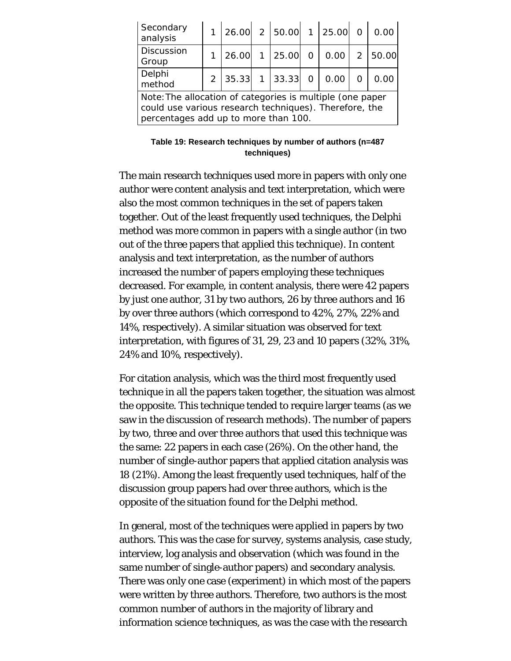| Secondary<br>analysis                                                                                                                                       |  |         |  | 1 26.00 2 50.00 1 25.00 0                         |  | 0.00   |
|-------------------------------------------------------------------------------------------------------------------------------------------------------------|--|---------|--|---------------------------------------------------|--|--------|
| <b>Discussion</b><br>Group                                                                                                                                  |  | 1 26.00 |  | 1 25.00 0 0.00 2                                  |  | 150.00 |
| Delphi<br>method                                                                                                                                            |  |         |  | $2 \mid 35.33 \mid 1 \mid 33.33 \mid 0 \mid 0.00$ |  |        |
| Note: The allocation of categories is multiple (one paper<br>could use various research techniques). Therefore, the<br>percentages add up to more than 100. |  |         |  |                                                   |  |        |

**Table 19: Research techniques by number of authors (n=487 techniques)**

The main research techniques used more in papers with only one author were content analysis and text interpretation, which were also the most common techniques in the set of papers taken together. Out of the least frequently used techniques, the Delphi method was more common in papers with a single author (in two out of the three papers that applied this technique). In content analysis and text interpretation, as the number of authors increased the number of papers employing these techniques decreased. For example, in content analysis, there were 42 papers by just one author, 31 by two authors, 26 by three authors and 16 by over three authors (which correspond to 42%, 27%, 22% and 14%, respectively). A similar situation was observed for text interpretation, with figures of 31, 29, 23 and 10 papers (32%, 31%, 24% and 10%, respectively).

For citation analysis, which was the third most frequently used technique in all the papers taken together, the situation was almost the opposite. This technique tended to require larger teams (as we saw in the discussion of research methods). The number of papers by two, three and over three authors that used this technique was the same: 22 papers in each case (26%). On the other hand, the number of single-author papers that applied citation analysis was 18 (21%). Among the least frequently used techniques, half of the discussion group papers had over three authors, which is the opposite of the situation found for the Delphi method.

In general, most of the techniques were applied in papers by two authors. This was the case for survey, systems analysis, case study, interview, log analysis and observation (which was found in the same number of single-author papers) and secondary analysis. There was only one case (experiment) in which most of the papers were written by three authors. Therefore, two authors is the most common number of authors in the majority of library and information science techniques, as was the case with the research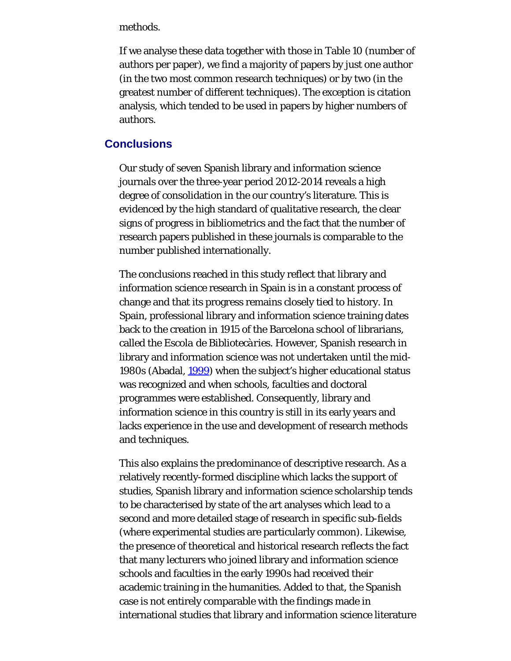methods.

If we analyse these data together with those in Table 10 (number of authors per paper), we find a majority of papers by just one author (in the two most common research techniques) or by two (in the greatest number of different techniques). The exception is citation analysis, which tended to be used in papers by higher numbers of authors.

### **Conclusions**

Our study of seven Spanish library and information science journals over the three-year period 2012-2014 reveals a high degree of consolidation in the our country's literature. This is evidenced by the high standard of qualitative research, the clear signs of progress in bibliometrics and the fact that the number of research papers published in these journals is comparable to the number published internationally.

The conclusions reached in this study reflect that library and information science research in Spain is in a constant process of change and that its progress remains closely tied to history. In Spain, professional library and information science training dates back to the creation in 1915 of the Barcelona school of librarians, called the *Escola de Bibliotecàries*. However, Spanish research in library and information science was not undertaken until the mid-1980s (Abadal, [1999\)](#page-25-0) when the subject's higher educational status was recognized and when schools, faculties and doctoral programmes were established. Consequently, library and information science in this country is still in its early years and lacks experience in the use and development of research methods and techniques.

This also explains the predominance of descriptive research. As a relatively recently-formed discipline which lacks the support of studies, Spanish library and information science scholarship tends to be characterised by state of the art analyses which lead to a second and more detailed stage of research in specific sub-fields (where experimental studies are particularly common). Likewise, the presence of theoretical and historical research reflects the fact that many lecturers who joined library and information science schools and faculties in the early 1990s had received their academic training in the humanities. Added to that, the Spanish case is not entirely comparable with the findings made in international studies that library and information science literature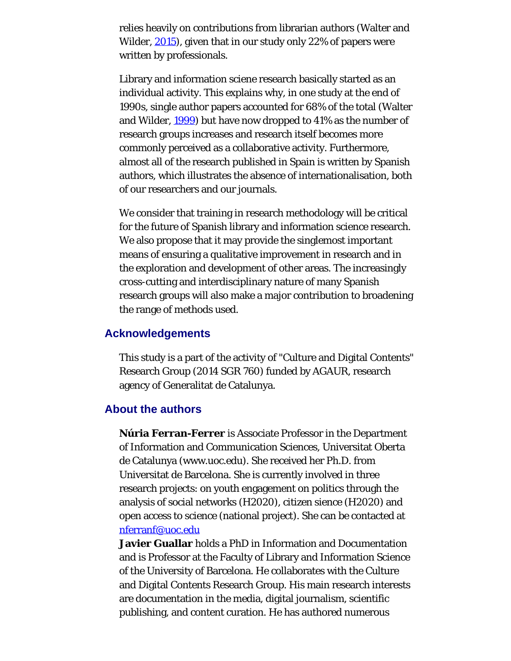relies heavily on contributions from librarian authors (Walter and Wilder, [2015\)](#page-25-4), given that in our study only 22% of papers were written by professionals.

Library and information sciene research basically started as an individual activity. This explains why, in one study at the end of 1990s, single author papers accounted for 68% of the total (Walter and Wilder, [1999\)](#page-25-0) but have now dropped to 41% as the number of research groups increases and research itself becomes more commonly perceived as a collaborative activity. Furthermore, almost all of the research published in Spain is written by Spanish authors, which illustrates the absence of internationalisation, both of our researchers and our journals.

We consider that training in research methodology will be critical for the future of Spanish library and information science research. We also propose that it may provide the singlemost important means of ensuring a qualitative improvement in research and in the exploration and development of other areas. The increasingly cross-cutting and interdisciplinary nature of many Spanish research groups will also make a major contribution to broadening the range of methods used.

### **Acknowledgements**

This study is a part of the activity of "Culture and Digital Contents" Research Group (2014 SGR 760) funded by AGAUR, research agency of Generalitat de Catalunya.

### <span id="page-21-0"></span>**About the authors**

**Núria Ferran-Ferrer** is Associate Professor in the Department of Information and Communication Sciences, Universitat Oberta de Catalunya (www.uoc.edu). She received her Ph.D. from Universitat de Barcelona. She is currently involved in three research projects: on youth engagement on politics through the analysis of social networks (H2020), citizen sience (H2020) and open access to science (national project). She can be contacted at [nferranf@uoc.edu](mailto:nferranf@uoc.edu)

**Javier Guallar** holds a PhD in Information and Documentation and is Professor at the Faculty of Library and Information Science of the University of Barcelona. He collaborates with the Culture and Digital Contents Research Group. His main research interests are documentation in the media, digital journalism, scientific publishing, and content curation. He has authored numerous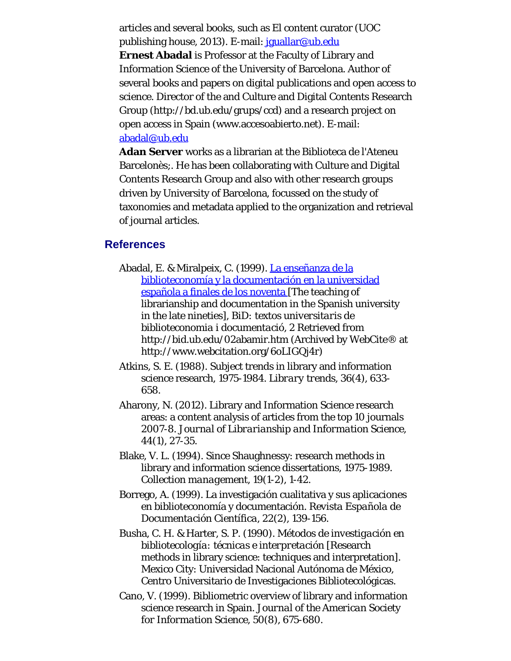articles and several books, such as El content curator (UOC publishing house, 2013). E-mail: [jguallar@ub.edu](mailto:jguallar@ub.edu) **Ernest Abadal** is Professor at the Faculty of Library and Information Science of the University of Barcelona. Author of several books and papers on digital publications and open access to science. Director of the and Culture and Digital Contents Research Group (http://bd.ub.edu/grups/ccd) and a research project on open access in Spain (www.accesoabierto.net). E-mail: [abadal@ub.edu](mailto:abadal@ub.edu)

**Adan Server** works as a librarian at the Biblioteca de l'Ateneu Barcelonès;. He has been collaborating with Culture and Digital Contents Research Group and also with other research groups driven by University of Barcelona, focussed on the study of taxonomies and metadata applied to the organization and retrieval of journal articles.

### **References**

- Abadal, E. & Miralpeix, C. (1999). [La enseñanza de la](http://www.webcitation.org/6oLIGQj4r) [biblioteconomía y la documentación en la universidad](http://www.webcitation.org/6oLIGQj4r) [española a finales de los noventa \[](http://www.webcitation.org/6oLIGQj4r)The teaching of librarianship and documentation in the Spanish university in the late nineties], *BiD: textos universitaris de biblioteconomia i documentació, 2* Retrieved from http://bid.ub.edu/02abamir.htm (Archived by WebCite® at http://www.webcitation.org/6oLIGQj4r)
- Atkins, S. E. (1988). Subject trends in library and information science research, 1975-1984. *Library trends, 36*(4), 633- 658.
- Aharony, N. (2012). Library and Information Science research areas: a content analysis of articles from the top 10 journals 2007-8. *Journal of Librarianship and Information Science, 44*(1), 27-35.
- Blake, V. L. (1994). Since Shaughnessy: research methods in library and information science dissertations, 1975-1989. *Collection management, 19*(1-2), 1-42.
- Borrego, A. (1999). La investigación cualitativa y sus aplicaciones en biblioteconomía y documentación. *Revista Española de Documentación Científica, 22*(2), 139-156.
- Busha, C. H. & Harter, S. P. (1990). *Métodos de investigación en bibliotecología: técnicas e interpretación* [Research methods in library science: techniques and interpretation]. Mexico City: Universidad Nacional Autónoma de México, Centro Universitario de Investigaciones Bibliotecológicas.
- Cano, V. (1999). Bibliometric overview of library and information science research in Spain. *Journal of the American Society for Information Science, 50*(8), 675-680.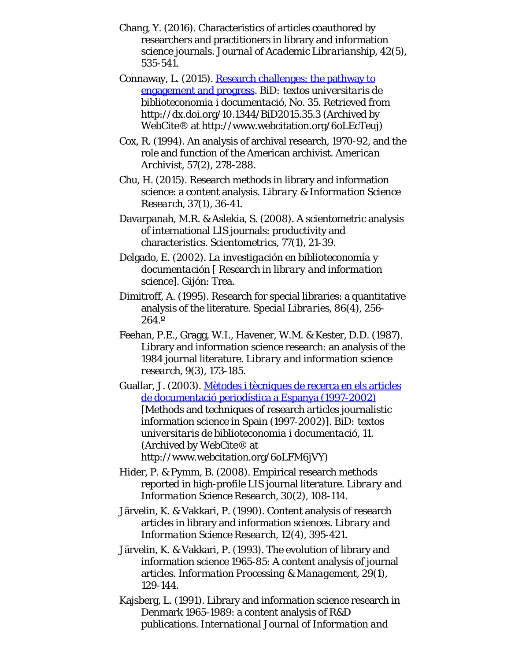- Chang, Y. (2016). Characteristics of articles coauthored by researchers and practitioners in library and information science journals. *Journal of Academic Librarianship, 42*(5), 535-541.
- Connaway, L. (2015). [Research challenges: the pathway to](http://www.webcitation.org/6oLEcTeuj) [engagement and progress.](http://www.webcitation.org/6oLEcTeuj) *BiD: textos universitaris de biblioteconomia i documentació*, No. 35. Retrieved from http://dx.doi.org/10.1344/BiD2015.35.3 (Archived by WebCite® at http://www.webcitation.org/6oLEcTeuj)
- Cox, R. (1994). An analysis of archival research, 1970-92, and the role and function of the American archivist. *American Archivist, 57*(2), 278-288.
- Chu, H. (2015). Research methods in library and information science: a content analysis. *Library & Information Science Research, 37*(1), 36-41.
- Davarpanah, M.R. & Aslekia, S. (2008). A scientometric analysis of international LIS journals: productivity and characteristics. *Scientometrics, 77*(1), 21-39.
- Delgado, E. (2002). *La investigación en biblioteconomía y documentación [ Research in library and information science]*. Gijón: Trea.
- Dimitroff, A. (1995). Research for special libraries: a quantitative analysis of the literature. *Special Libraries, 86*(4), 256- 264.º
- Feehan, P.E., Gragg, W.I., Havener, W.M. & Kester, D.D. (1987). Library and information science research: an analysis of the 1984 journal literature. *Library and information science research, 9*(3), 173-185.
- Guallar, J. (2003). [Mètodes i tècniques de recerca en els articles](http://bid.ub.edu/11gualla.html) [de documentació periodística a Espanya \(1997-2002\)](http://bid.ub.edu/11gualla.html) [Methods and techniques of research articles journalistic information science in Spain (1997-2002)]. *BiD: textos universitaris de biblioteconomia i documentació*, 11. (Archived by WebCite® at http://www.webcitation.org/6oLFM6jVY)
- Hider, P. & Pymm, B. (2008). Empirical research methods reported in high-profile LIS journal literature. *Library and Information Science Research, 30*(2), 108-114.
- Järvelin, K. & Vakkari, P. (1990). Content analysis of research articles in library and information sciences. *Library and Information Science Research, 12*(4), 395-421.
- Järvelin, K. & Vakkari, P. (1993). The evolution of library and information science 1965-85: A content analysis of journal articles. *Information Processing & Management, 29*(1), 129-144.
- Kajsberg, L. (1991). Library and information science research in Denmark 1965-1989: a content analysis of R&D publications. *International Journal of Information and*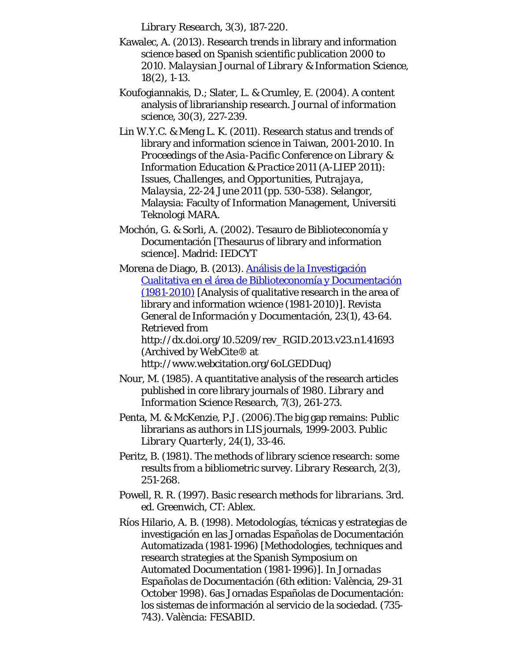*Library Research, 3*(3), 187-220.

- Kawalec, A. (2013). Research trends in library and information science based on Spanish scientific publication 2000 to 2010. *Malaysian Journal of Library & Information Science, 18*(2), 1-13.
- Koufogiannakis, D.; Slater, L. & Crumley, E. (2004). A content analysis of librarianship research. *Journal of information science, 30*(3), 227-239.
- Lin W.Y.C. & Meng L. K. (2011). Research status and trends of library and information science in Taiwan, 2001-2010. In *Proceedings of the Asia-Pacific Conference on Library & Information Education & Practice 2011 (A-LIEP 2011): Issues, Challenges, and Opportunities, Putrajaya, Malaysia, 22-24 June 2011* (pp. 530-538). Selangor, Malaysia: Faculty of Information Management, Universiti Teknologi MARA.
- Mochón, G. & Sorli, A. (2002). Tesauro de Biblioteconomía y Documentación [Thesaurus of library and information science]. Madrid: IEDCYT

Morena de Diago, B. (2013). [Análisis de la Investigación](http://www.webcitation.org/6oLGEDDuq) [Cualitativa en el área de Biblioteconomía y Documentación](http://www.webcitation.org/6oLGEDDuq) [\(1981-2010\)](http://www.webcitation.org/6oLGEDDuq) [Analysis of qualitative research in the area of library and information wcience (1981-2010)]. *Revista General de Información y Documentación*, 23(1), 43-64. Retrieved from http://dx.doi.org/10.5209/rev\_RGID.2013.v23.n1.41693 (Archived by WebCite® at http://www.webcitation.org/6oLGEDDuq)

- Nour, M. (1985). A quantitative analysis of the research articles published in core library journals of 1980. *Library and Information Science Research, 7*(3), 261-273.
- Penta, M. & McKenzie, P.J. (2006).The big gap remains: Public librarians as authors in LIS journals, 1999-2003*. Public Library Quarterly, 24*(1), 33-46.
- Peritz, B. (1981). The methods of library science research: some results from a bibliometric survey. *Library Research, 2*(3), 251-268.
- Powell, R. R. (1997). *Basic research methods for librarians*. 3rd. ed. Greenwich, CT: Ablex.
- Ríos Hilario, A. B. (1998). Metodologías, técnicas y estrategias de investigación en las Jornadas Españolas de Documentación Automatizada (1981-1996) [Methodologies, techniques and research strategies at the Spanish Symposium on Automated Documentation (1981-1996)]. In *Jornadas Españolas de Documentación* (6th edition: València, 29-31 October 1998). 6as Jornadas Españolas de Documentación: los sistemas de información al servicio de la sociedad. (735- 743). València: FESABID.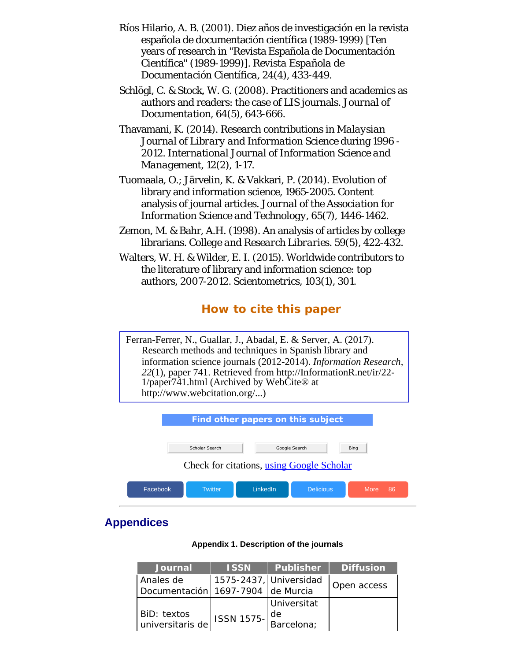- <span id="page-25-1"></span><span id="page-25-0"></span>Ríos Hilario, A. B. (2001). Diez años de investigación en la revista española de documentación científica (1989-1999) [Ten years of research in "Revista Española de Documentación Científica" (1989-1999)]. *Revista Española de Documentación Científica*, 24(4), 433-449.
- <span id="page-25-5"></span>Schlögl, C. & Stock, W. G. (2008). Practitioners and academics as authors and readers: the case of LIS journals. *Journal of Documentation, 64*(5), 643-666.
- <span id="page-25-3"></span>Thavamani, K. (2014). Research contributions in *Malaysian Journal of Library and Information Science* during 1996 - 2012. *International Journal of Information Science and Management, 12*(2), 1-17.
- <span id="page-25-2"></span>Tuomaala, O.; Järvelin, K. & Vakkari, P. (2014). Evolution of library and information science, 1965-2005. Content analysis of journal articles. *Journal of the Association for Information Science and Technology, 65*(7), 1446-1462.
- <span id="page-25-6"></span>Zemon, M. & Bahr, A.H. (1998). An analysis of articles by college librarians. *College and Research Libraries. 59*(5), 422-432.
- <span id="page-25-4"></span>Walters, W. H. & Wilder, E. I. (2015). Worldwide contributors to the literature of library and information science: top authors, 2007-2012. *Scientometrics, 103*(1), 301.

# **How to cite this paper**

Ferran-Ferrer, N., Guallar, J., Abadal, E. & Server, A. (2017). Research methods and techniques in Spanish library and information science journals (2012-2014). *Information Research, 22*(1), paper 741. Retrieved from http://InformationR.net/ir/22- 1/paper741.html (Archived by WebCite® at http://www.webcitation.org/...)

| Find other papers on this subject |                |                                           |                  |            |
|-----------------------------------|----------------|-------------------------------------------|------------------|------------|
|                                   | Scholar Search |                                           | Google Search    | Bing       |
|                                   |                | Check for citations, using Google Scholar |                  |            |
| Facebook                          | <b>Twitter</b> | LinkedIn                                  | <b>Delicious</b> | More<br>86 |

# **Appendices**

#### **Appendix 1. Description of the journals**

| <b>Journal</b>                                 | <b>ISSN</b>                                                    | Publisher              | <b>Diffusion</b> |
|------------------------------------------------|----------------------------------------------------------------|------------------------|------------------|
| Anales de<br>Documentación 1697-7904 de Murcia |                                                                | 1575-2437, Universidad | Open access      |
| BiD: textos<br>universitaris de                | ISSN 1575- $\begin{vmatrix} de \text{Barcelona} \end{vmatrix}$ | Universitat            |                  |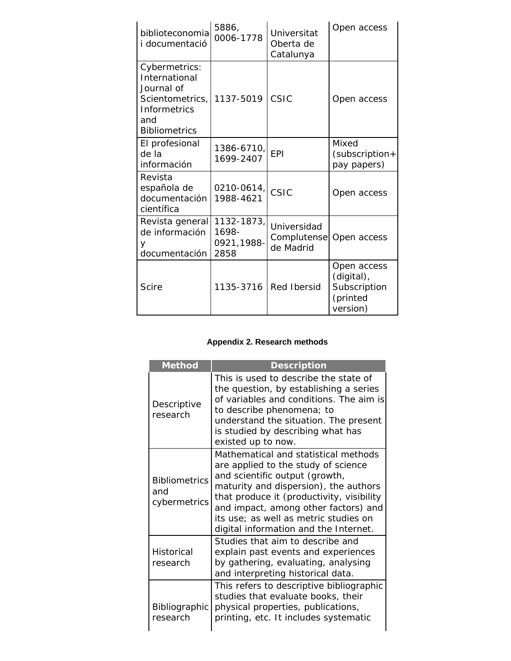<span id="page-26-0"></span>

| biblioteconomia<br>i documentació                                                                                     | 5886,<br>0006-1778                        | Universitat<br>Oberta de<br>Catalunya   | Open access                                                       |
|-----------------------------------------------------------------------------------------------------------------------|-------------------------------------------|-----------------------------------------|-------------------------------------------------------------------|
| Cybermetrics:<br>International<br>Journal of<br>Scientometrics,<br><b>Informetrics</b><br>and<br><b>Bibliometrics</b> | 1137-5019                                 | CSIC                                    | Open access                                                       |
| El profesional<br>de la<br>información                                                                                | 1386-6710,<br>1699-2407                   | EPI                                     | Mixed<br>(subscription+<br>pay papers)                            |
| Revista<br>española de<br>documentación<br>científica                                                                 | $0210 - 0614,$<br>1988-4621               | CSIC                                    | Open access                                                       |
| Revista general<br>de información<br>У<br>documentación                                                               | 1132-1873,<br>1698-<br>0921,1988-<br>2858 | Universidad<br>Complutense<br>de Madrid | Open access                                                       |
| <b>Scire</b>                                                                                                          | 1135-3716                                 | <b>Red Ibersid</b>                      | Open access<br>(digital),<br>Subscription<br>(printed<br>version) |

### **Appendix 2. Research methods**

| <b>Method</b>                               | <b>Description</b>                                                                                                                                                                                                                                                                                                            |
|---------------------------------------------|-------------------------------------------------------------------------------------------------------------------------------------------------------------------------------------------------------------------------------------------------------------------------------------------------------------------------------|
| Descriptive<br>research                     | This is used to describe the state of<br>the question, by establishing a series<br>of variables and conditions. The aim is<br>to describe phenomena; to<br>understand the situation. The present<br>is studied by describing what has<br>existed up to now.                                                                   |
| <b>Bibliometrics</b><br>and<br>cybermetrics | Mathematical and statistical methods<br>are applied to the study of science<br>and scientific output (growth,<br>maturity and dispersion), the authors<br>that produce it (productivity, visibility<br>and impact, among other factors) and<br>its use; as well as metric studies on<br>digital information and the Internet. |
| <b>Historical</b><br>research               | Studies that aim to describe and<br>explain past events and experiences<br>by gathering, evaluating, analysing<br>and interpreting historical data.                                                                                                                                                                           |
| <b>Bibliographic</b><br>research            | This refers to descriptive bibliographic<br>studies that evaluate books, their<br>physical properties, publications,<br>printing, etc. It includes systematic                                                                                                                                                                 |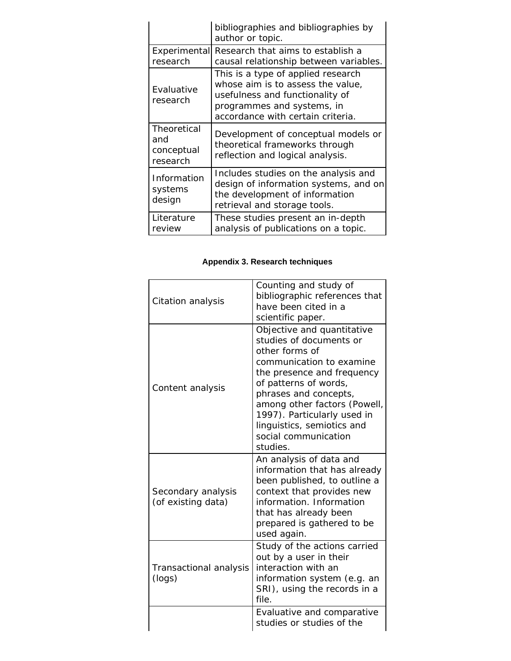<span id="page-27-0"></span>

|                                              | bibliographies and bibliographies by<br>author or topic.                                                                                                                      |
|----------------------------------------------|-------------------------------------------------------------------------------------------------------------------------------------------------------------------------------|
| Experimental<br>research                     | Research that aims to establish a<br>causal relationship between variables.                                                                                                   |
| Evaluative<br>research                       | This is a type of applied research<br>whose aim is to assess the value,<br>usefulness and functionality of<br>programmes and systems, in<br>accordance with certain criteria. |
| Theoretical<br>and<br>conceptual<br>research | Development of conceptual models or<br>theoretical frameworks through<br>reflection and logical analysis.                                                                     |
| Information<br>systems<br>design             | Includes studies on the analysis and<br>design of information systems, and on<br>the development of information<br>retrieval and storage tools.                               |
| Literature<br>review                         | These studies present an in-depth<br>analysis of publications on a topic.                                                                                                     |

### **Appendix 3. Research techniques**

| Citation analysis                        | Counting and study of<br>bibliographic references that<br>have been cited in a<br>scientific paper.                                                                                                                                                                                                                  |
|------------------------------------------|----------------------------------------------------------------------------------------------------------------------------------------------------------------------------------------------------------------------------------------------------------------------------------------------------------------------|
| Content analysis                         | Objective and quantitative<br>studies of documents or<br>other forms of<br>communication to examine<br>the presence and frequency<br>of patterns of words,<br>phrases and concepts,<br>among other factors (Powell,<br>1997). Particularly used in<br>linguistics, semiotics and<br>social communication<br>studies. |
| Secondary analysis<br>(of existing data) | An analysis of data and<br>information that has already<br>been published, to outline a<br>context that provides new<br>information. Information<br>that has already been<br>prepared is gathered to be<br>used again.                                                                                               |
| Transactional analysis<br>(logs)         | Study of the actions carried<br>out by a user in their<br>interaction with an<br>information system (e.g. an<br>SRI), using the records in a<br>file.                                                                                                                                                                |
|                                          | Evaluative and comparative<br>studies or studies of the                                                                                                                                                                                                                                                              |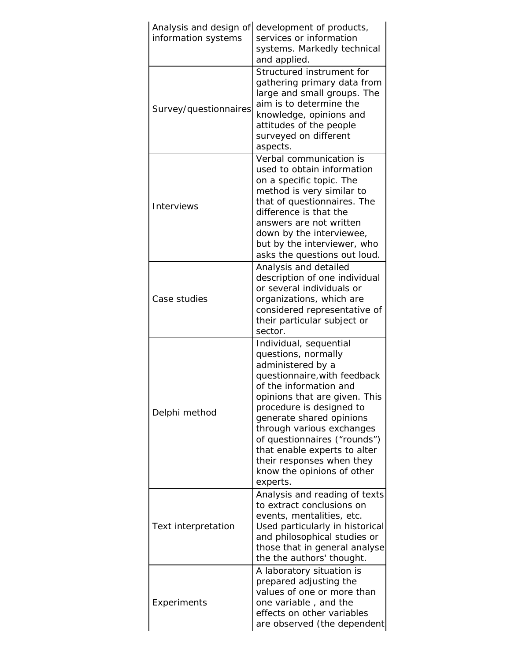| Analysis and design of<br>information systems | development of products,<br>services or information<br>systems. Markedly technical<br>and applied.                                                                                                                                                                                                                                                                                        |
|-----------------------------------------------|-------------------------------------------------------------------------------------------------------------------------------------------------------------------------------------------------------------------------------------------------------------------------------------------------------------------------------------------------------------------------------------------|
| Survey/questionnaires                         | Structured instrument for<br>gathering primary data from<br>large and small groups. The<br>aim is to determine the<br>knowledge, opinions and<br>attitudes of the people<br>surveyed on different<br>aspects.                                                                                                                                                                             |
| <b>Interviews</b>                             | Verbal communication is<br>used to obtain information<br>on a specific topic. The<br>method is very similar to<br>that of questionnaires. The<br>difference is that the<br>answers are not written<br>down by the interviewee,<br>but by the interviewer, who<br>asks the questions out loud.                                                                                             |
| Case studies                                  | Analysis and detailed<br>description of one individual<br>or several individuals or<br>organizations, which are<br>considered representative of<br>their particular subject or<br>sector.                                                                                                                                                                                                 |
| Delphi method                                 | Individual, sequential<br>questions, normally<br>administered by a<br>questionnaire, with feedback<br>of the information and<br>opinions that are given. This<br>procedure is designed to<br>generate shared opinions<br>through various exchanges<br>of questionnaires ("rounds")<br>that enable experts to alter<br>their responses when they<br>know the opinions of other<br>experts. |
| Text interpretation                           | Analysis and reading of texts<br>to extract conclusions on<br>events, mentalities, etc.<br>Used particularly in historical<br>and philosophical studies or<br>those that in general analyse<br>the the authors' thought.                                                                                                                                                                  |
| Experiments                                   | A laboratory situation is<br>prepared adjusting the<br>values of one or more than<br>one variable, and the<br>effects on other variables<br>are observed (the dependent                                                                                                                                                                                                                   |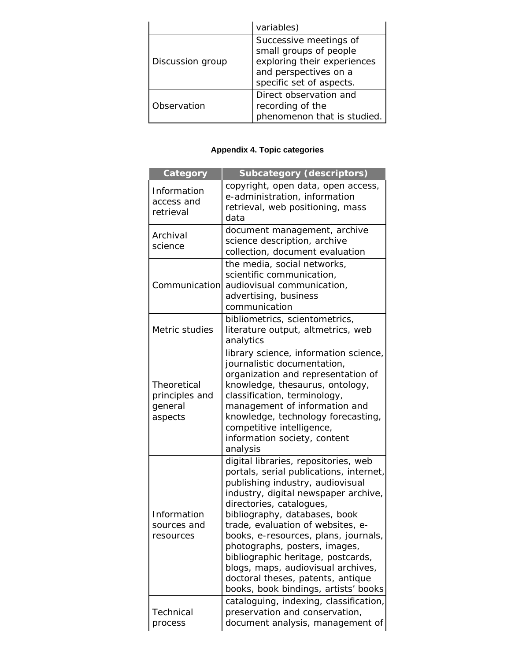<span id="page-29-0"></span>

|                  | variables)                                                                                                                           |
|------------------|--------------------------------------------------------------------------------------------------------------------------------------|
| Discussion group | Successive meetings of<br>small groups of people<br>exploring their experiences<br>and perspectives on a<br>specific set of aspects. |
| Observation      | Direct observation and<br>recording of the<br>phenomenon that is studied.                                                            |

## **Appendix 4. Topic categories**

| Category                                            | <b>Subcategory (descriptors)</b>                                                                                                                                                                                                                                                                                                                                                                                                                                                                |
|-----------------------------------------------------|-------------------------------------------------------------------------------------------------------------------------------------------------------------------------------------------------------------------------------------------------------------------------------------------------------------------------------------------------------------------------------------------------------------------------------------------------------------------------------------------------|
| Information<br>access and<br>retrieval              | copyright, open data, open access,<br>e-administration, information<br>retrieval, web positioning, mass<br>data                                                                                                                                                                                                                                                                                                                                                                                 |
| Archival<br>science                                 | document management, archive<br>science description, archive<br>collection, document evaluation                                                                                                                                                                                                                                                                                                                                                                                                 |
| Communication                                       | the media, social networks,<br>scientific communication,<br>audiovisual communication,<br>advertising, business<br>communication                                                                                                                                                                                                                                                                                                                                                                |
| Metric studies                                      | bibliometrics, scientometrics,<br>literature output, altmetrics, web<br>analytics                                                                                                                                                                                                                                                                                                                                                                                                               |
| Theoretical<br>principles and<br>general<br>aspects | library science, information science,<br>journalistic documentation,<br>organization and representation of<br>knowledge, thesaurus, ontology,<br>classification, terminology,<br>management of information and<br>knowledge, technology forecasting,<br>competitive intelligence,<br>information society, content<br>analysis                                                                                                                                                                   |
| Information<br>sources and<br>resources             | digital libraries, repositories, web<br>portals, serial publications, internet,<br>publishing industry, audiovisual<br>industry, digital newspaper archive,<br>directories, catalogues,<br>bibliography, databases, book<br>trade, evaluation of websites, e-<br>books, e-resources, plans, journals,<br>photographs, posters, images,<br>bibliographic heritage, postcards,<br>blogs, maps, audiovisual archives,<br>doctoral theses, patents, antique<br>books, book bindings, artists' books |
| Technical<br>process                                | cataloguing, indexing, classification,<br>preservation and conservation,<br>document analysis, management of                                                                                                                                                                                                                                                                                                                                                                                    |